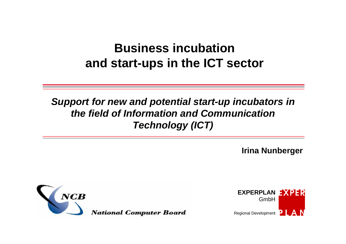# **Business incubation and start-ups in the ICT sector**

# *Support for new and potential start-up incubators in the field of Information and Communication Technology (ICT)*

**Irina Nunberger**



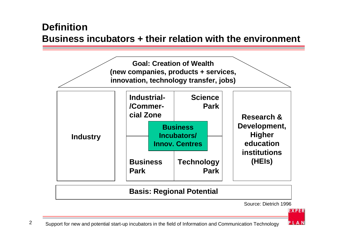### **Definition Business incubators + their relation with the environment**



Source: Dietrich 1996

**EXPER**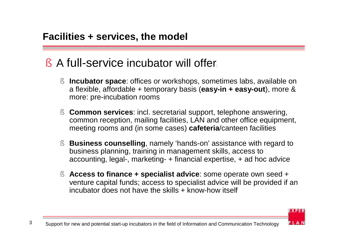# § A full-service incubator will offer:

- § **Incubator space**: offices or workshops, sometimes labs, available on a flexible, affordable + temporary basis (**easy-in + easy-out**), more & more: pre-incubation rooms
- § **Common services**: incl. secretarial support, telephone answering, common reception, mailing facilities, LAN and other office equipment, meeting rooms and (in some cases) **cafeteria**/canteen facilities
- § **Business counselling**, namely 'hands-on' assistance with regard to business planning, training in management skills, access to accounting, legal-, marketing- + financial expertise, + ad hoc advice
- § **Access to finance + specialist advice**: some operate own seed + venture capital funds; access to specialist advice will be provided if an incubator does not have the skills + know-how itself

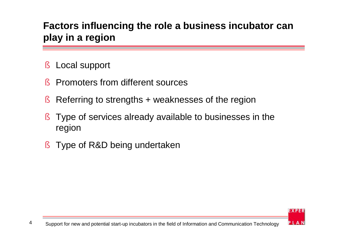# **Factors influencing the role a business incubator can play in a region**

- § Local support
- **§** Promoters from different sources
- § Referring to strengths + weaknesses of the region
- § Type of services already available to businesses in the region
- § Type of R&D being undertaken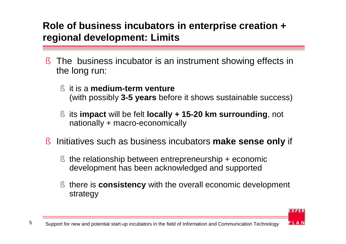# **Role of business incubators in enterprise creation + regional development: Limits**

- § The business incubator is an instrument showing effects in the long run:
	- § it is a **medium-term venture** (with possibly **3-5 years** before it shows sustainable success)
	- § its **impact** will be felt **locally + 15-20 km surrounding**, not nationally + macro-economically
- § Initiatives such as business incubators **make sense only** if
	- § the relationship between entrepreneurship + economic development has been acknowledged and supported
	- § there is **consistency** with the overall economic development strategy

**EXPER**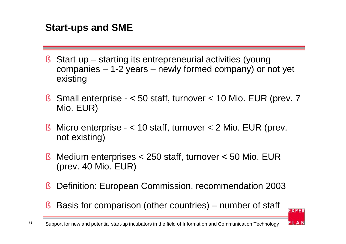# **Start-ups and SME**

- § Start-up starting its entrepreneurial activities (young companies – 1-2 years – newly formed company) or not yet existing
- § Small enterprise < 50 staff, turnover < 10 Mio. EUR (prev. 7 Mio. EUR)
- § Micro enterprise  $-$  < 10 staff, turnover < 2 Mio. EUR (prev. not existing)
- § Medium enterprises < 250 staff, turnover < 50 Mio. EUR (prev. 40 Mio. EUR)
- § Definition: European Commission, recommendation 2003
- § Basis for comparison (other countries) number of staff

**EXPER**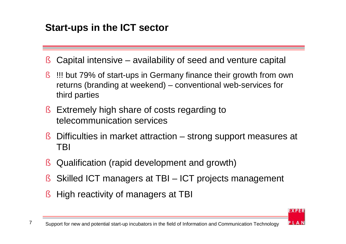# **Start-ups in the ICT sector**

- § Capital intensive availability of seed and venture capital
- § !!! but 79% of start-ups in Germany finance their growth from own returns (branding at weekend) – conventional web-services for third parties
- § Extremely high share of costs regarding to telecommunication services
- § Difficulties in market attraction strong support measures at TBI
- § Qualification (rapid development and growth)
- § Skilled ICT managers at TBI ICT projects management
- § High reactivity of managers at TBI



**EXPER**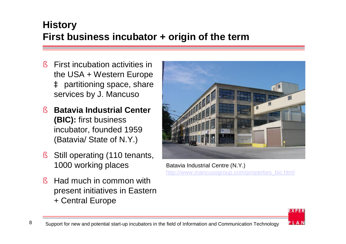# **History First business incubator + origin of the term**

- § First incubation activities in the USA + Western Europe à partitioning space, share services by J. Mancuso
- § **Batavia Industrial Center (BIC):** first business incubator, founded 1959 (Batavia/ State of N.Y.)
- § Still operating (110 tenants, 1000 working places
- § Had much in common with present initiatives in Eastern + Central Europe



Batavia Industrial Centre (N.Y.) [http://www.mancusogroup.com/properties\\_bic.html](http://www.mancusogroup.com/properties_bic.html)

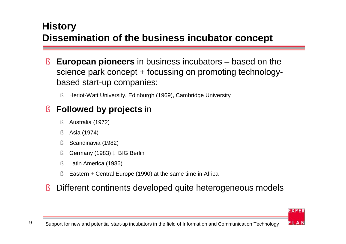# **History Dissemination of the business incubator concept**

- § **European pioneers** in business incubators based on the science park concept + focussing on promoting technologybased start-up companies:
	- § Heriot-Watt University, Edinburgh (1969), Cambridge University

# § **Followed by projects** in

- § Australia (1972)
- § Asia (1974)
- § Scandinavia (1982)
- § Germany (1983) à BIG Berlin
- § Latin America (1986)
- § Eastern + Central Europe (1990) at the same time in Africa
- § Different continents developed quite heterogeneous models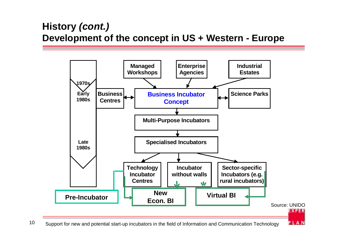# **History** *(cont.)* **Development of the concept in US + Western - Europe**



10 Support for new and potential start-up incubators in the field of Information and Communication Technology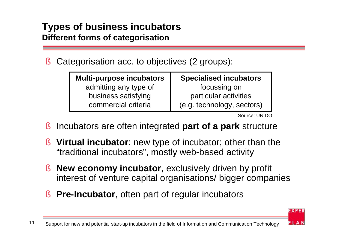#### **Types of business incubators Different forms of categorisation**

§ Categorisation acc. to objectives (2 groups):

| <b>Multi-purpose incubators</b> | <b>Specialised incubators</b> |  |  |
|---------------------------------|-------------------------------|--|--|
| admitting any type of           | focussing on                  |  |  |
| business satisfying             | particular activities         |  |  |
| commercial criteria             | (e.g. technology, sectors)    |  |  |

Source: UNIDO

**EXPER** 

- § Incubators are often integrated **part of a park** structure
- § **Virtual incubator**: new type of incubator; other than the "traditional incubators" , mostly web-based activity
- § **New economy incubator**, exclusively driven by profit interest of venture capital organisations/ bigger companies
- § **Pre-Incubator**, often part of regular incubators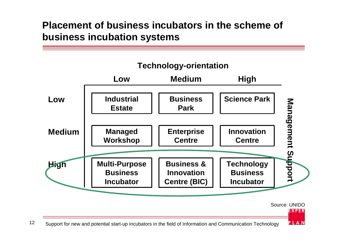# **Placement of business incubators in the scheme of business incubation systems**

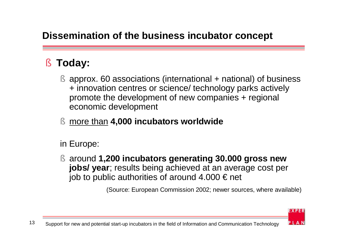# **Dissemination of the business incubator concept**

# § **Today:**

- § approx. 60 associations (international + national) of business + innovation centres or science/ technology parks actively promote the development of new companies + regional economic development
- § more than **4,000 incubators worldwide**

in Europe:

§ around **1,200 incubators generating 30.000 gross new jobs/ year**; results being achieved at an average cost per job to public authorities of around  $4.000 \in \text{net}$ 

(Source: European Commission 2002; newer sources, where available)

**EXPER**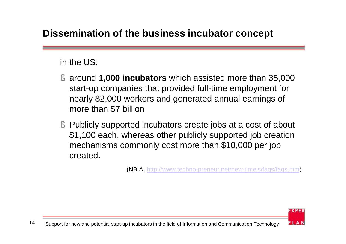# **Dissemination of the business incubator concept**

#### in the US:

- § around **1,000 incubators** which assisted more than 35,000 start-up companies that provided full-time employment for nearly 82,000 workers and generated annual earnings of more than \$7 billion
- § Publicly supported incubators create jobs at a cost of about \$1,100 each, whereas other publicly supported job creation mechanisms commonly cost more than \$10,000 per job created.

(NBIA, [http://www.techno-preneur.net/new-timeis/faqs/faqs.htm\)](http://www.techno-preneur.net/new-timeis/faqs/faqs.htm)

**EXPER**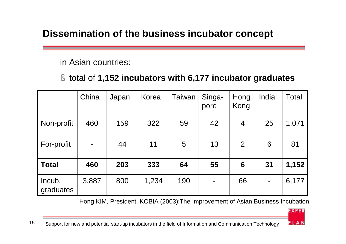# **Dissemination of the business incubator concept**

in Asian countries:

#### § total of **1,152 incubators with 6,177 incubator graduates**

|                     | China | Japan | Korea | <b>Taiwan</b> | Singa-<br>pore | Hong<br>Kong    | India | <b>Total</b> |
|---------------------|-------|-------|-------|---------------|----------------|-----------------|-------|--------------|
| Non-profit          | 460   | 159   | 322   | 59            | 42             | 4               | 25    | 1,071        |
| For-profit          |       | 44    | 11    | 5             | 13             | 2               | 6     | 81           |
| <b>Total</b>        | 460   | 203   | 333   | 64            | 55             | $6\phantom{1}6$ | 31    | 1,152        |
| Incub.<br>graduates | 3,887 | 800   | 1,234 | 190           |                | 66              |       | 6,177        |

Hong KIM, President, KOBIA (2003):The Improvement of Asian Business Incubation.

**EXPER**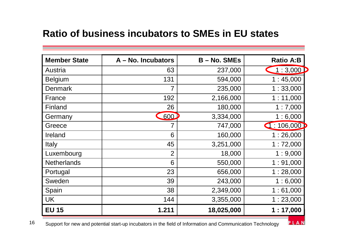#### **Ratio of business incubators to SMEs in EU states**

| <b>Member State</b> | A – No. Incubators | $B - No.$ SMEs | <b>Ratio A:B</b> |
|---------------------|--------------------|----------------|------------------|
| Austria             | 63                 | 237,000        | 1:3,000          |
| <b>Belgium</b>      | 131                | 594,000        | 1:45,000         |
| <b>Denmark</b>      | 7                  | 235,000        | 1:33,000         |
| France              | 192                | 2,166,000      | 1:11,000         |
| Finland             | 26                 | 180,000        | 1:7,000          |
| Germany             | 600                | 3,334,000      | 1:6,000          |
| Greece              |                    | 747,000        | 1:106,000        |
| Ireland             | 6                  | 160,000        | 1:26,000         |
| Italy               | 45                 | 3,251,000      | 1:72,000         |
| Luxembourg          | $\overline{2}$     | 18,000         | 1:9,000          |
| <b>Netherlands</b>  | 6                  | 550,000        | 1:91,000         |
| Portugal            | 23                 | 656,000        | 1:28,000         |
| Sweden              | 39                 | 243,000        | 1:6,000          |
| Spain               | 38                 | 2,349,000      | 1:61,000         |
| <b>UK</b>           | 144                | 3,355,000      | 1:23,000         |
| <b>EU 15</b>        | 1.211              | 18,025,000     | 1:17,000         |

PLAN

16 Support for new and potential start-up incubators in the field of Information and Communication Technology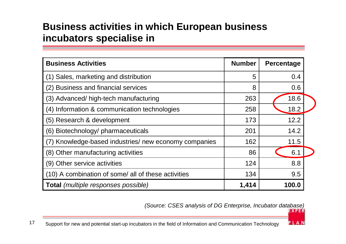# **Business activities in which European business incubators specialise in**

| <b>Business Activities</b>                            | <b>Number</b> | <b>Percentage</b> |  |
|-------------------------------------------------------|---------------|-------------------|--|
| (1) Sales, marketing and distribution                 | 5             | 0.4               |  |
| (2) Business and financial services                   | 8             | 0.6               |  |
| (3) Advanced/ high-tech manufacturing                 | 263           | 18.6              |  |
| (4) Information & communication technologies          | 258           | 18.2              |  |
| (5) Research & development                            | 173           | 12.2              |  |
| (6) Biotechnology/ pharmaceuticals                    | 201           | 14.2              |  |
| (7) Knowledge-based industries/ new economy companies | 162           | 11.5              |  |
| (8) Other manufacturing activities                    | 86            | 6.1               |  |
| (9) Other service activities                          | 124           | 8.8               |  |
| (10) A combination of some/ all of these activities   | 134           | 9.5               |  |
| <b>Total</b> (multiple responses possible)            | 1,414         | 100.0             |  |

*(Source: CSES analysis of DG Enterprise, Incubator database)*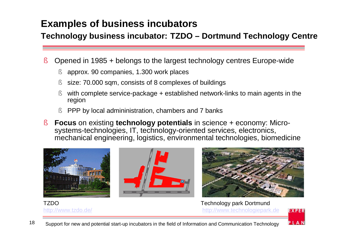# **Examples of business incubators**

#### **Technology business incubator: TZDO – Dortmund Technology Centre**

- § Opened in 1985 + belongs to the largest technology centres Europe-wide
	- § approx. 90 companies, 1.300 work places
	- § size: 70.000 sqm, consists of 8 complexes of buildings
	- § with complete service-package + established network-links to main agents in the region
	- § PPP by local admininistration, chambers and 7 banks
- § **Focus** on existing **technology potentials** in science + economy: Microsystems-technologies, IT, technology-oriented services, electronics, mechanical engineering, logistics, environmental technologies, biomedicine



<http://www.tzdo.de/> <http://www.technologiepark.de>**EXPER**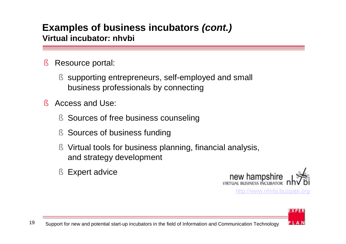#### **Examples of business incubators** *(cont.)* **Virtual incubator: nhvbi**

- § Resource portal:
	- § supporting entrepreneurs, self-employed and small business professionals by connecting
- § Access and Use:
	- § Sources of free business counseling
	- § Sources of business funding
	- § Virtual tools for business planning, financial analysis, and strategy development
	- § Expert advice



<http://www.nhvbi.buzgate.org>

**EXPER**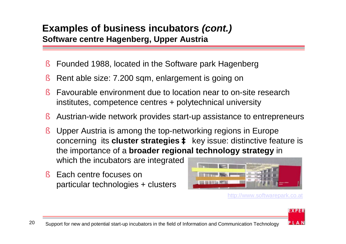#### **Examples of business incubators** *(cont.)* **Software centre Hagenberg, Upper Austria**

- § Founded 1988, located in the Software park Hagenberg
- § Rent able size: 7.200 sqm, enlargement is going on
- § Favourable environment due to location near to on-site research institutes, competence centres + polytechnical university
- § Austrian-wide network provides start-up assistance to entrepreneurs
- § Upper Austria is among the top-networking regions in Europe concerning its **cluster strategies à** key issue: distinctive feature is the importance of a **broader regional technology strategy** in which the incubators are integrated
- § Each centre focuses on particular technologies + clusters



<http://www.softwarepark.co.at>

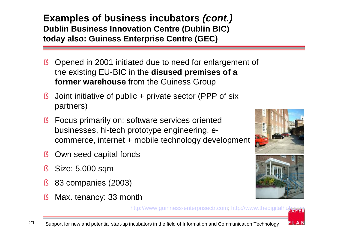**Examples of business incubators** *(cont.)* **Dublin Business Innovation Centre (Dublin BIC) today also: Guiness Enterprise Centre (GEC)**

- § Opened in 2001 initiated due to need for enlargement of the existing EU-BIC in the **disused premises of a former warehouse** from the Guiness Group
- § Joint initiative of public + private sector (PPP of six partners)
- § Focus primarily on: software services oriented businesses, hi-tech prototype engineering, ecommerce, internet + mobile technology development
- § Own seed capital fonds
- § Size: 5.000 sqm
- § 83 companies (2003)
- § Max. tenancy: 33 month





PLAN

[http://www.guinness-enterprisectr.com;](http://www.guinness-enterprisectr.com) <http://www.thedigitalhub.com>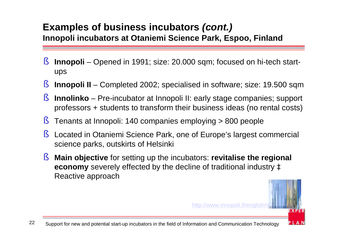#### **Examples of business incubators** *(cont.)* **Innopoli incubators at Otaniemi Science Park, Espoo, Finland**

- § **Innopoli** Opened in 1991; size: 20.000 sqm; focused on hi-tech startups
- § **Innopoli II** Completed 2002; specialised in software; size: 19.500 sqm
- § **Innolinko** Pre-incubator at Innopoli II: early stage companies; support professors + students to transform their business ideas (no rental costs)
- § Tenants at Innopoli: 140 companies employing > 800 people
- § Located in Otaniemi Science Park, one of Europe's largest commercial science parks, outskirts of Helsinki
- § **Main objective** for setting up the incubators: **revitalise the regional economy** severely effected by the decline of traditional industry à Reactive approach

http://www.innopoli.fi/english/

PLAN

22 Support for new and potential start-up incubators in the field of Information and Communication Technology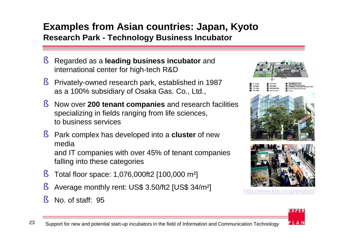#### **Examples from Asian countries: Japan, Kyoto Research Park - Technology Business Incubator**

- § Regarded as a **leading business incubator** and international center for high-tech R&D
- § Privately-owned research park, established in 1987 as a 100% subsidiary of Osaka Gas. Co., Ltd.,
- § Now over **200 tenant companies** and research facilities specializing in fields ranging from life sciences, to business services
- § Park complex has developed into a **cluster** of new media and IT companies with over 45% of tenant companies falling into these categories
- § Total floor space: 1,076,000ft2 [100,000 m²]
- § Average monthly rent: US\$ 3.50/ft2 [US\$ 34/m²]
- § No. of staff: 95



<http://www.krp.co.jp/english/>

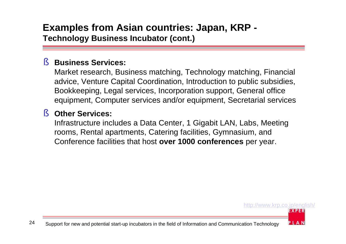#### **Examples from Asian countries: Japan, KRP - Technology Business Incubator (cont.)**

#### § **Business Services:**

Market research, Business matching, Technology matching, Financial advice, Venture Capital Coordination, Introduction to public subsidies, Bookkeeping, Legal services, Incorporation support, General office equipment, Computer services and/or equipment, Secretarial services

#### § **Other Services:**

Infrastructure includes a Data Center, 1 Gigabit LAN, Labs, Meeting rooms, Rental apartments, Catering facilities, Gymnasium, and Conference facilities that host **over 1000 conferences** per year.

#### <http://www.krp.co.jp/english/> **EXPER**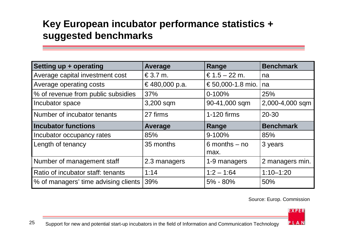# **Key European incubator performance statistics + suggested benchmarks**

| Setting up + operating               | <b>Average</b>                        | Range             | <b>Benchmark</b> |
|--------------------------------------|---------------------------------------|-------------------|------------------|
| Average capital investment cost      | $\text{\textsterling}3.7 \text{ m}$ . | € $1.5 - 22$ m.   | na               |
| Average operating costs              | €480,000 p.a.                         | € 50,000-1.8 mio. | na               |
| % of revenue from public subsidies   | 37%                                   | $0 - 100%$        | 25%              |
| Incubator space                      | 3,200 sqm                             | 90-41,000 sqm     | 2,000-4,000 sqm  |
| Number of incubator tenants          | 27 firms                              | 1-120 firms       | $20 - 30$        |
| <b>Incubator functions</b>           | <b>Average</b>                        | Range             | <b>Benchmark</b> |
| Incubator occupancy rates            | 85%                                   | $9 - 100%$        | 85%              |
| Length of tenancy                    | 35 months                             | $6$ months $-$ no | 3 years          |
|                                      |                                       | max.              |                  |
| Number of management staff           | 2.3 managers                          | 1-9 managers      | 2 managers min.  |
| Ratio of incubator staff: tenants    | 1:14                                  | $1:2 - 1:64$      | $1:10 - 1:20$    |
| % of managers' time advising clients | 39%                                   | $5\% - 80\%$      | 50%              |

Source: Europ. Commission

**EXPER** 

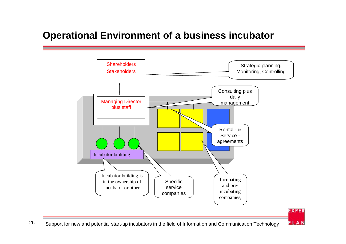# **Operational Environment of a business incubator**

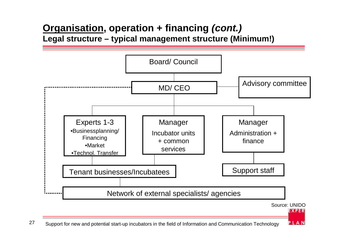#### **Organisation, operation + financing** *(cont.)* **Legal structure – typical management structure (Minimum!)**

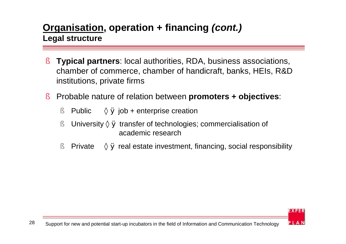### **Organisation, operation + financing** *(cont.)* **Legal structure**

- § **Typical partners**: local authorities, RDA, business associations, chamber of commerce, chamber of handicraft, banks, HEIs, R&D institutions, private firms
- § Probable nature of relation between **promoters + objectives**:
	- § Public  $\times \emptyset$  job + enterprise creation
	- § University  $\times \emptyset$  transfer of technologies; commercialisation of academic research
	- § Private  $\times \emptyset$  real estate investment, financing, social responsibility

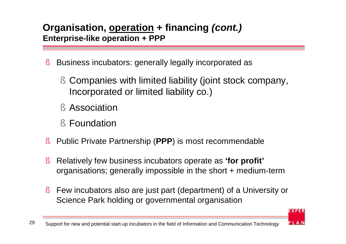### **Organisation, operation + financing** *(cont.)* **Enterprise-like operation + PPP**

- § Business incubators: generally legally incorporated as
	- § Companies with limited liability (joint stock company, Incorporated or limited liability co.)
	- § Association
	- § Foundation
- § Public Private Partnership (**PPP**) is most recommendable
- § Relatively few business incubators operate as **'for profit'** organisations; generally impossible in the short + medium-term
- § Few incubators also are just part (department) of a University or Science Park holding or governmental organisation

**EXPER**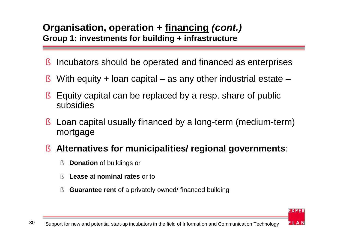#### **Organisation, operation + financing** *(cont.)* **Group 1: investments for building + infrastructure**

- § Incubators should be operated and financed as enterprises
- § With equity  $+$  loan capital as any other industrial estate –
- § Equity capital can be replaced by a resp. share of public subsidies
- § Loan capital usually financed by a long-term (medium-term) mortgage

#### § **Alternatives for municipalities/ regional governments**:

- § **Donation** of buildings or
- § **Lease** at **nominal rates** or to
- § **Guarantee rent** of a privately owned/ financed building

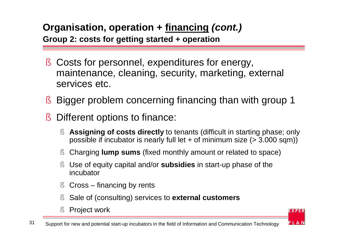# **Organisation, operation + financing** *(cont.)*

**Group 2: costs for getting started + operation**

- § Costs for personnel, expenditures for energy, maintenance, cleaning, security, marketing, external services etc.
- § Bigger problem concerning financing than with group 1
- § Different options to finance:
	- § **Assigning of costs directly** to tenants (difficult in starting phase; only possible if incubator is nearly full let + of minimum size (> 3.000 sqm))
	- § Charging **lump sums** (fixed monthly amount or related to space)
	- § Use of equity capital and/or **subsidies** in start-up phase of the incubator
	- § Cross financing by rents
	- § Sale of (consulting) services to **external customers**
	- § Project work



**EXPER**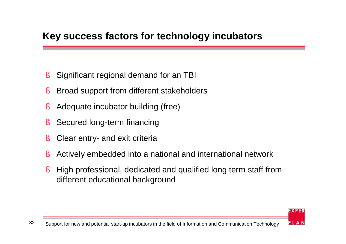### **Key success factors for technology incubators**

- § Significant regional demand for an TBI
- § Broad support from different stakeholders
- § Adequate incubator building (free)
- § Secured long-term financing
- § Clear entry- and exit criteria
- § Actively embedded into a national and international network
- § High professional, dedicated and qualified long term staff from different educational background



**EXPER**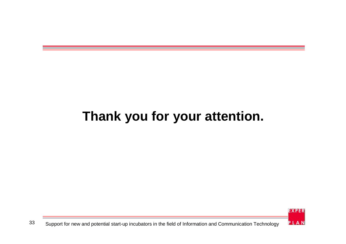# **Thank you for your attention.**

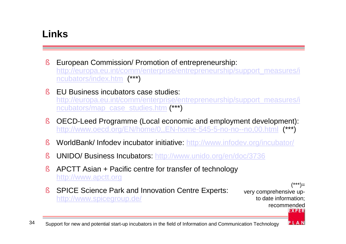# **Links**

- § European Commission/ Promotion of entrepreneurship: [http://europa.eu.int/comm/enterprise/entrepreneurship/support\\_measures/i](http://europa.eu.int/comm/enterprise/entrepreneurship/support_measures/i) ncubators/index.htm (\*\*\*)
- § EU Business incubators case studies: [http://europa.eu.int/comm/enterprise/entrepreneurship/support\\_measures/i](http://europa.eu.int/comm/enterprise/entrepreneurship/support_measures/i) ncubators/map\_case\_studies.htm (\*\*\*)
- § OECD-Leed Programme (Local economic and employment development): <http://www.oecd.org/EN/home/0,,EN-home-545-5-no-no--no,00.html> (\*\*\*)
- § WorldBank/ Infodev incubator initiative: <http://www.infodev.org/incubator/>
- § UNIDO/ Business Incubators:<http://www.unido.org/en/doc/3736>
- § APCTT Asian + Pacific centre for transfer of technology <http://www.apctt.org>
- § SPICE Science Park and Innovation Centre Experts: <http://www.spicegroup.de/>

(\*\*\*)= very comprehensive upto date information; recommended**EXPER**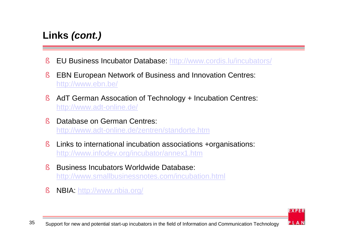# **Links** *(cont.)*

- § EU Business Incubator Database:<http://www.cordis.lu/incubators/>
- § EBN European Network of Business and Innovation Centres: <http://www.ebn.be/>
- § AdT German Assocation of Technology + Incubation Centres: <http://www.adt-online.de/>
- § Database on German Centres: <http://www.adt-online.de/zentren/standorte.htm>
- § Links to international incubation associations +organisations: <http://www.infodev.org/incubator/annex1.htm>
- § Business Incubators Worldwide Database: <http://www.smallbusinessnotes.com/incubation.html>
- § NBIA:<http://www.nbia.org/>

**EXPER**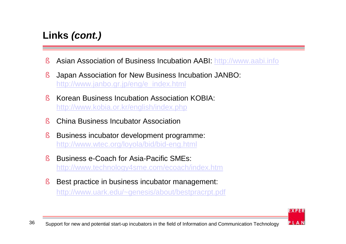# **Links** *(cont.)*

- § Asian Association of Business Incubation AABI: <http://www.aabi.info>
- § Japan Association for New Business Incubation JANBO: [http://www.janbo.gr.jp/eng/e\\_index.html](http://www.janbo.gr.jp/eng/e_index.html)
- § Korean Business Incubation Association KOBIA: <http://www.kobia.or.kr/english/index.php>
- § China Business Incubator Association
- § Business incubator development programme: <http://www.wtec.org/loyola/bid/bid-eng.html>
- § Business e-Coach for Asia-Pacific SMEs: <http://www.technology4sme.com/ecoach/index.htm>
- § Best practice in business incubator management: <http://www.uark.edu/~genesis/about/bestpracrpt.pdf>

**EXPER**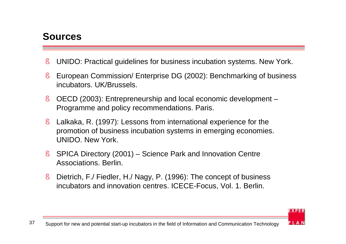### **Sources**

- § UNIDO: Practical guidelines for business incubation systems. New York.
- § European Commission/ Enterprise DG (2002): Benchmarking of business incubators. UK/Brussels.
- § OECD (2003): Entrepreneurship and local economic development Programme and policy recommendations. Paris.
- § Lalkaka, R. (1997): Lessons from international experience for the promotion of business incubation systems in emerging economies. UNIDO. New York.
- § SPICA Directory (2001) Science Park and Innovation Centre Associations. Berlin.
- § Dietrich, F./ Fiedler, H./ Nagy, P. (1996): The concept of business incubators and innovation centres. ICECE-Focus, Vol. 1. Berlin.